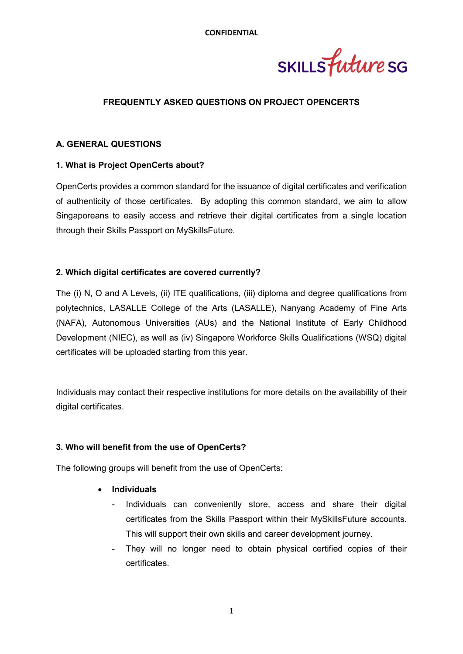SKILLS future SG

#### FREQUENTLY ASKED QUESTIONS ON PROJECT OPENCERTS

#### A. GENERAL QUESTIONS

#### 1. What is Project OpenCerts about?

OpenCerts provides a common standard for the issuance of digital certificates and verification of authenticity of those certificates. By adopting this common standard, we aim to allow Singaporeans to easily access and retrieve their digital certificates from a single location through their Skills Passport on MySkillsFuture.

#### 2. Which digital certificates are covered currently?

The (i) N, O and A Levels, (ii) ITE qualifications, (iii) diploma and degree qualifications from polytechnics, LASALLE College of the Arts (LASALLE), Nanyang Academy of Fine Arts (NAFA), Autonomous Universities (AUs) and the National Institute of Early Childhood Development (NIEC), as well as (iv) Singapore Workforce Skills Qualifications (WSQ) digital certificates will be uploaded starting from this year.

Individuals may contact their respective institutions for more details on the availability of their digital certificates.

#### 3. Who will benefit from the use of OpenCerts?

The following groups will benefit from the use of OpenCerts:

#### • Individuals

- Individuals can conveniently store, access and share their digital certificates from the Skills Passport within their MySkillsFuture accounts. This will support their own skills and career development journey.
- They will no longer need to obtain physical certified copies of their certificates.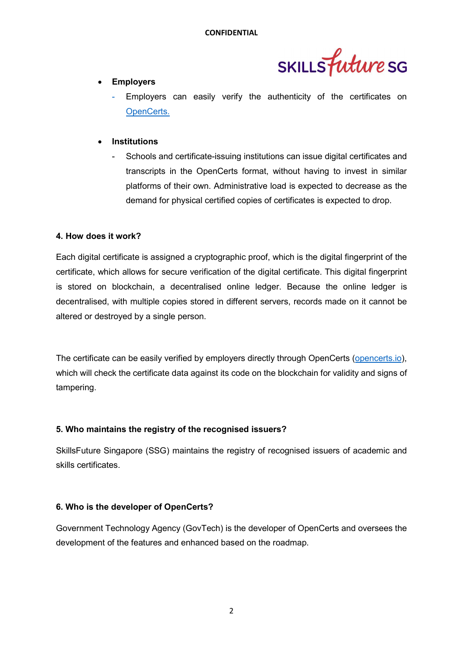

## Employers

Employers can easily verify the authenticity of the certificates on OpenCerts.

#### **Institutions**

Schools and certificate-issuing institutions can issue digital certificates and transcripts in the OpenCerts format, without having to invest in similar platforms of their own. Administrative load is expected to decrease as the demand for physical certified copies of certificates is expected to drop.

#### 4. How does it work?

Each digital certificate is assigned a cryptographic proof, which is the digital fingerprint of the certificate, which allows for secure verification of the digital certificate. This digital fingerprint is stored on blockchain, a decentralised online ledger. Because the online ledger is decentralised, with multiple copies stored in different servers, records made on it cannot be altered or destroyed by a single person.

The certificate can be easily verified by employers directly through OpenCerts (opencerts.io), which will check the certificate data against its code on the blockchain for validity and signs of tampering.

## 5. Who maintains the registry of the recognised issuers?

SkillsFuture Singapore (SSG) maintains the registry of recognised issuers of academic and skills certificates.

## 6. Who is the developer of OpenCerts?

Government Technology Agency (GovTech) is the developer of OpenCerts and oversees the development of the features and enhanced based on the roadmap.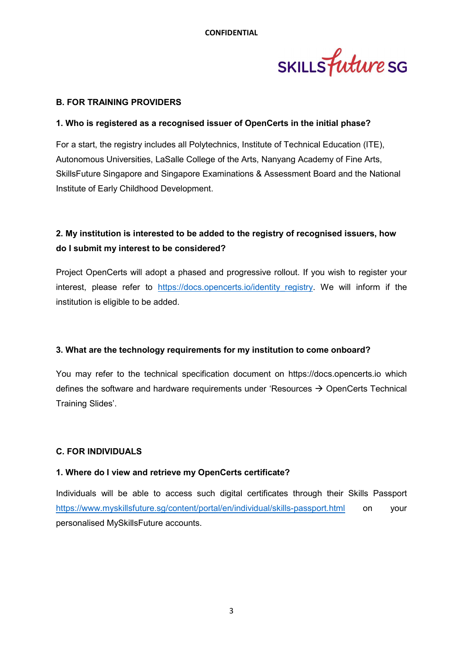

#### B. FOR TRAINING PROVIDERS

#### 1. Who is registered as a recognised issuer of OpenCerts in the initial phase?

For a start, the registry includes all Polytechnics, Institute of Technical Education (ITE), Autonomous Universities, LaSalle College of the Arts, Nanyang Academy of Fine Arts, SkillsFuture Singapore and Singapore Examinations & Assessment Board and the National Institute of Early Childhood Development.

# 2. My institution is interested to be added to the registry of recognised issuers, how do I submit my interest to be considered?

Project OpenCerts will adopt a phased and progressive rollout. If you wish to register your interest, please refer to https://docs.opencerts.jo/identity registry. We will inform if the institution is eligible to be added.

#### 3. What are the technology requirements for my institution to come onboard?

You may refer to the technical specification document on https://docs.opencerts.io which defines the software and hardware requirements under 'Resources  $\rightarrow$  OpenCerts Technical Training Slides'.

## C. FOR INDIVIDUALS

## 1. Where do I view and retrieve my OpenCerts certificate?

Individuals will be able to access such digital certificates through their Skills Passport https://www.myskillsfuture.sg/content/portal/en/individual/skills-passport.html on your personalised MySkillsFuture accounts.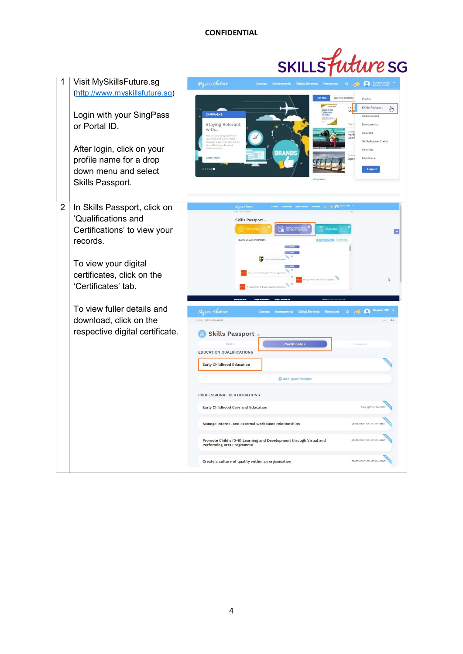

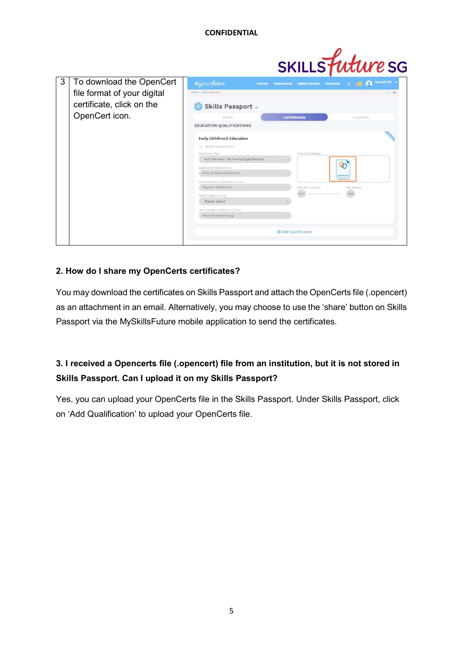

## 2. How do I share my OpenCerts certificates?

You may download the certificates on Skills Passport and attach the OpenCerts file (.opencert) as an attachment in an email. Alternatively, you may choose to use the 'share' button on Skills Passport via the MySkillsFuture mobile application to send the certificates.

# 3. I received a Opencerts file (.opencert) file from an institution, but it is not stored in Skills Passport. Can I upload it on my Skills Passport?

Yes, you can upload your OpenCerts file in the Skills Passport. Under Skills Passport, click on 'Add Qualification' to upload your OpenCerts file.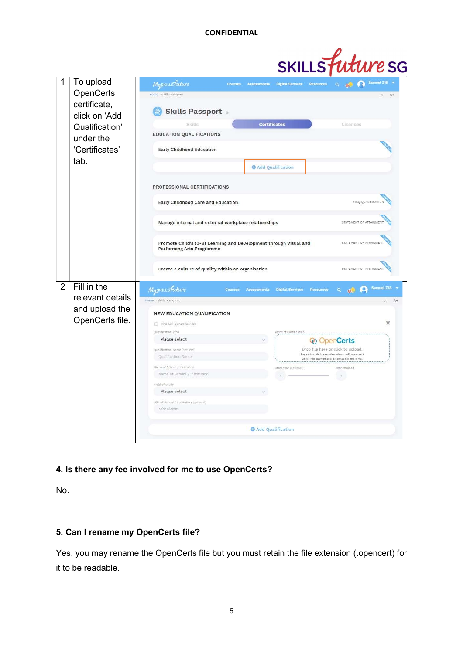

| 1              | To upload                                                    | Samuel Z18<br>Myskillsfuture<br>$\circ$<br><b>Courses Assessments</b><br><b>Digital Services</b><br><b>Resources</b><br>Q.<br>$\ddot{\bullet}$ |          |
|----------------|--------------------------------------------------------------|------------------------------------------------------------------------------------------------------------------------------------------------|----------|
|                | OpenCerts<br>certificate,<br>click on 'Add<br>Qualification' | Home Skills Passport                                                                                                                           | $A +$    |
|                |                                                              | <b>Skills Passport</b> o                                                                                                                       |          |
|                |                                                              | <b>Certificates</b><br>Skills<br>Licences                                                                                                      |          |
|                |                                                              | EDUCATION QUALIFICATIONS                                                                                                                       |          |
|                | under the                                                    |                                                                                                                                                |          |
|                | 'Certificates'                                               | <b>Early Childhood Education</b>                                                                                                               |          |
|                | tab.                                                         |                                                                                                                                                |          |
|                |                                                              | <b>O</b> Add Qualification                                                                                                                     |          |
|                |                                                              | PROFESSIONAL CERTIFICATIONS                                                                                                                    |          |
|                |                                                              |                                                                                                                                                |          |
|                |                                                              | WSQ QUALIFICATION<br>Early Childhood Care and Education                                                                                        |          |
|                |                                                              |                                                                                                                                                |          |
|                |                                                              | Manage internal and external workplace relationships<br>STATEMENT OF ATTAINMEN                                                                 |          |
|                |                                                              |                                                                                                                                                |          |
|                |                                                              | Promote Child's (0-8) Learning and Development through Visual and<br>STATEMENT OF ATTAINMEN                                                    |          |
|                |                                                              | <b>Performing Arts Programme</b>                                                                                                               |          |
|                |                                                              | STATEMENT OF ATTAINMENT                                                                                                                        |          |
|                |                                                              | Create a culture of quality within an organisation                                                                                             |          |
| $\overline{2}$ | Fill in the                                                  | <b>Samuel 218</b>                                                                                                                              |          |
|                | relevant details                                             | Myskillsfuture<br><b>CO</b><br><b>Courses Assessments</b><br><b>Digital Services</b><br><b>Resources</b><br>Q.<br>$\odot$                      |          |
|                |                                                              | Home Skills Passport                                                                                                                           | A+<br>A- |
|                | and upload the                                               | <b>NEW EDUCATION QUALIFICATION</b>                                                                                                             |          |
|                | OpenCerts file.                                              | HIGHEST QUALIFICATION                                                                                                                          | ×        |
|                |                                                              | Qualification Type                                                                                                                             |          |
|                |                                                              | Please select<br><b>&amp; OpenCerts</b>                                                                                                        |          |
|                |                                                              | Drop file here or click to upload.<br>Qualification Name (optional)                                                                            |          |
|                |                                                              | Supported file types: .doc, .docx, .pdf, .opencert<br>Qualification Name<br>Only 1 file allowed and it cannot exceed 2 MB.                     |          |
|                |                                                              | Name of School / Institution<br>Start Year (options)<br>Year Attained                                                                          |          |
|                |                                                              | Name of School / Institution                                                                                                                   |          |
|                |                                                              | Field of Study                                                                                                                                 |          |
|                |                                                              | Please select                                                                                                                                  |          |
|                |                                                              | URL of School / Institution (optional)                                                                                                         |          |
|                |                                                              | school.com                                                                                                                                     |          |
|                |                                                              |                                                                                                                                                |          |
|                |                                                              | <b>O</b> Add Qualification                                                                                                                     |          |
|                |                                                              |                                                                                                                                                |          |

## 4. Is there any fee involved for me to use OpenCerts?

No.

## 5. Can I rename my OpenCerts file?

Yes, you may rename the OpenCerts file but you must retain the file extension (.opencert) for it to be readable.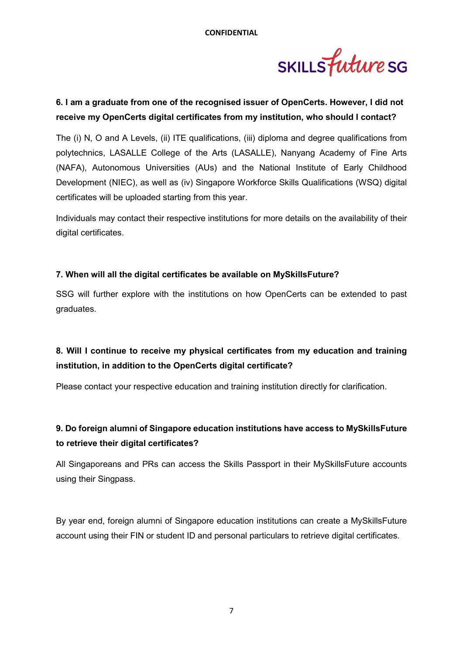

## 6. I am a graduate from one of the recognised issuer of OpenCerts. However, I did not receive my OpenCerts digital certificates from my institution, who should I contact?

The (i) N, O and A Levels, (ii) ITE qualifications, (iii) diploma and degree qualifications from polytechnics, LASALLE College of the Arts (LASALLE), Nanyang Academy of Fine Arts (NAFA), Autonomous Universities (AUs) and the National Institute of Early Childhood Development (NIEC), as well as (iv) Singapore Workforce Skills Qualifications (WSQ) digital certificates will be uploaded starting from this year.

Individuals may contact their respective institutions for more details on the availability of their digital certificates.

## 7. When will all the digital certificates be available on MySkillsFuture?

SSG will further explore with the institutions on how OpenCerts can be extended to past graduates.

# 8. Will I continue to receive my physical certificates from my education and training institution, in addition to the OpenCerts digital certificate?

Please contact your respective education and training institution directly for clarification.

## 9. Do foreign alumni of Singapore education institutions have access to MySkillsFuture to retrieve their digital certificates?

All Singaporeans and PRs can access the Skills Passport in their MySkillsFuture accounts using their Singpass.

By year end, foreign alumni of Singapore education institutions can create a MySkillsFuture account using their FIN or student ID and personal particulars to retrieve digital certificates.